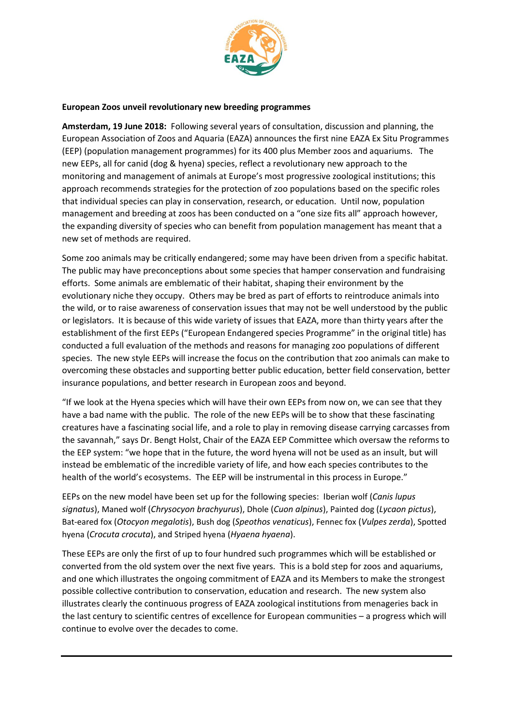

## **European Zoos unveil revolutionary new breeding programmes**

**Amsterdam, 19 June 2018:** Following several years of consultation, discussion and planning, the European Association of Zoos and Aquaria (EAZA) announces the first nine EAZA Ex Situ Programmes (EEP) (population management programmes) for its 400 plus Member zoos and aquariums. The new EEPs, all for canid (dog & hyena) species, reflect a revolutionary new approach to the monitoring and management of animals at Europe's most progressive zoological institutions; this approach recommends strategies for the protection of zoo populations based on the specific roles that individual species can play in conservation, research, or education. Until now, population management and breeding at zoos has been conducted on a "one size fits all" approach however, the expanding diversity of species who can benefit from population management has meant that a new set of methods are required.

Some zoo animals may be critically endangered; some may have been driven from a specific habitat. The public may have preconceptions about some species that hamper conservation and fundraising efforts. Some animals are emblematic of their habitat, shaping their environment by the evolutionary niche they occupy. Others may be bred as part of efforts to reintroduce animals into the wild, or to raise awareness of conservation issues that may not be well understood by the public or legislators. It is because of this wide variety of issues that EAZA, more than thirty years after the establishment of the first EEPs ("European Endangered species Programme" in the original title) has conducted a full evaluation of the methods and reasons for managing zoo populations of different species. The new style EEPs will increase the focus on the contribution that zoo animals can make to overcoming these obstacles and supporting better public education, better field conservation, better insurance populations, and better research in European zoos and beyond.

"If we look at the Hyena species which will have their own EEPs from now on, we can see that they have a bad name with the public. The role of the new EEPs will be to show that these fascinating creatures have a fascinating social life, and a role to play in removing disease carrying carcasses from the savannah," says Dr. Bengt Holst, Chair of the EAZA EEP Committee which oversaw the reforms to the EEP system: "we hope that in the future, the word hyena will not be used as an insult, but will instead be emblematic of the incredible variety of life, and how each species contributes to the health of the world's ecosystems. The EEP will be instrumental in this process in Europe."

EEPs on the new model have been set up for the following species: Iberian wolf (*Canis lupus signatus*), Maned wolf (*Chrysocyon brachyurus*), Dhole (*Cuon alpinus*), Painted dog (*Lycaon pictus*), Bat-eared fox (*Otocyon megalotis*), Bush dog (*Speothos venaticus*), Fennec fox (*Vulpes zerda*), Spotted hyena (*Crocuta crocuta*), and Striped hyena (*Hyaena hyaena*).

These EEPs are only the first of up to four hundred such programmes which will be established or converted from the old system over the next five years. This is a bold step for zoos and aquariums, and one which illustrates the ongoing commitment of EAZA and its Members to make the strongest possible collective contribution to conservation, education and research. The new system also illustrates clearly the continuous progress of EAZA zoological institutions from menageries back in the last century to scientific centres of excellence for European communities – a progress which will continue to evolve over the decades to come.